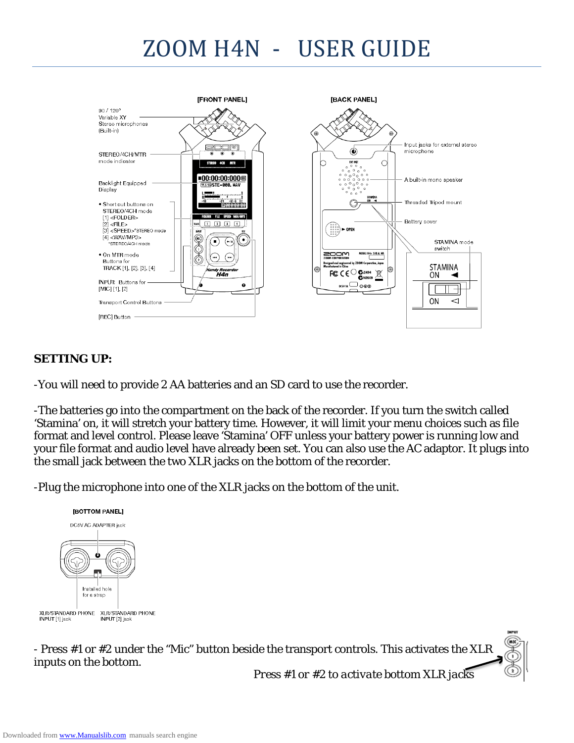# ZOOM H4N - USER GUIDE



#### *SETTING UP:*

-You will need to provide 2 AA batteries and an SD card to use the recorder.

-The batteries go into the compartment on the back of the recorder. If you turn the switch called 'Stamina' on, it will stretch your battery time. However, it will limit your menu choices such as file format and level control. Please leave 'Stamina' OFF unless your battery power is running low and your file format and audio level have already been set. You can also use the AC adaptor. It plugs into the small jack between the two XLR jacks on the bottom of the recorder.

-Plug the microphone into one of the XLR jacks on the bottom of the unit.



- Press #1 or #2 under the "Mic" button beside the transport controls. This activates the XLR inputs on the bottom.

*Press #1 or #2 to activate bottom XLR jacks*

**INPUT**  $(\overline{m})$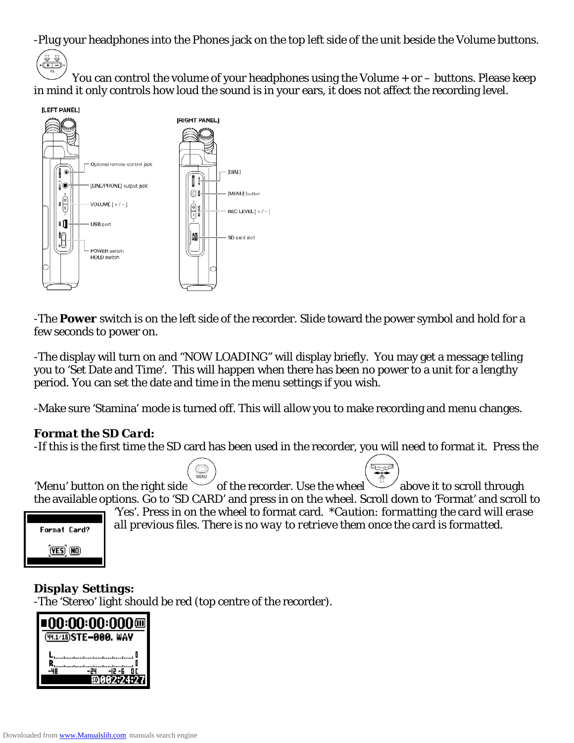-Plug your headphones into the Phones jack on the top left side of the unit beside the Volume buttons.



You can control the volume of your headphones using the Volume + or – buttons. Please keep in mind it only controls how loud the sound is in your ears, it does not affect the recording level.



-The **Power** switch is on the left side of the recorder. Slide toward the power symbol and hold for a few seconds to power on.

-The display will turn on and "NOW LOADING" will display briefly. You may get a message telling you to 'Set Date and Time'. This will happen when there has been no power to a unit for a lengthy period. You can set the date and time in the menu settings if you wish.

-Make sure 'Stamina' mode is turned off. This will allow you to make recording and menu changes.

#### *Format the SD Card:*

-If this is the first time the SD card has been used in the recorder, you will need to format it. Press the

MENU 'Menu' button on the right side  $\sim$  of the recorder. Use the wheel  $\sim$  above it to scroll through the available options. Go to 'SD CARD' and press in on the wheel. Scroll down to 'Format' and scroll to



'Yes'. Press in on the wheel to format card. \**Caution: formatting the card will erase all previous files. There is no way to retrieve them once the card is formatted.* 

للمصطر

#### *Display Settings:*

-The 'Stereo' light should be red (top centre of the recorder).

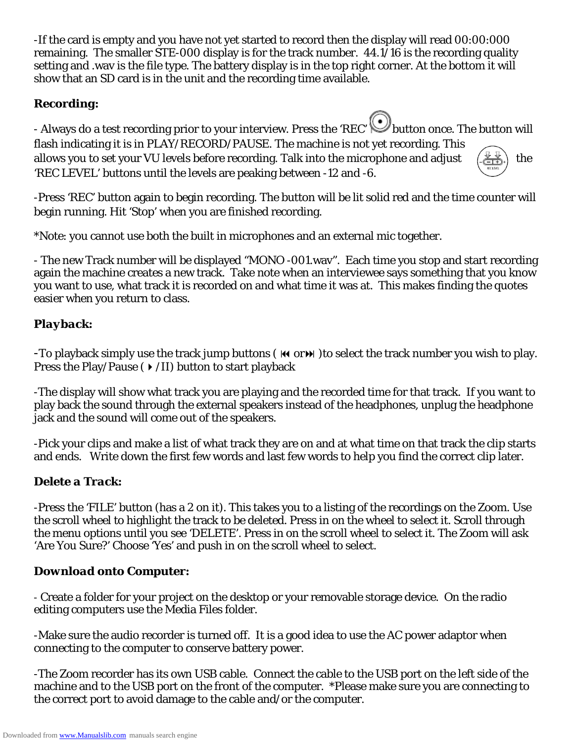-If the card is empty and you have not yet started to record then the display will read 00:00:000 remaining. The smaller STE-000 display is for the track number. 44.1/16 is the recording quality setting and .wav is the file type. The battery display is in the top right corner. At the bottom it will show that an SD card is in the unit and the recording time available.

### *Recording:*

- Always do a test recording prior to your interview. Press the 'REC' Dbutton once. The button will flash indicating it is in PLAY/RECORD/PAUSE. The machine is not yet recording. This allows you to set your VU levels before recording. Talk into the microphone and adjust  $(\frac{\psi \psi}{\sqrt{1-\psi}})$  the 'REC LEVEL' buttons until the levels are peaking between -12 and -6.

-Press 'REC' button again to begin recording. The button will be lit solid red and the time counter will begin running. Hit 'Stop' when you are finished recording.

\*Note: you cannot use both the built in microphones and an external mic together.

- The new Track number will be displayed "MONO -001.wav". Each time you stop and start recording again the machine creates a new track. Take note when an interviewee says something that you know you want to use, what track it is recorded on and what time it was at. This makes finding the quotes easier when you return to class.

#### *Playback:*

-To playback simply use the track jump buttons ( $\bf{M}$  or $\bf{M}$ ) to select the track number you wish to play. Press the Play/Pause ( $\rightarrow$  /II) button to start playback

-The display will show what track you are playing and the recorded time for that track. If you want to play back the sound through the external speakers instead of the headphones, unplug the headphone jack and the sound will come out of the speakers.

-Pick your clips and make a list of what track they are on and at what time on that track the clip starts and ends. Write down the first few words and last few words to help you find the correct clip later.

## *Delete a Track:*

-Press the 'FILE' button (has a 2 on it). This takes you to a listing of the recordings on the Zoom. Use the scroll wheel to highlight the track to be deleted. Press in on the wheel to select it. Scroll through the menu options until you see 'DELETE'. Press in on the scroll wheel to select it. The Zoom will ask 'Are You Sure?' Choose 'Yes' and push in on the scroll wheel to select.

#### *Download onto Computer:*

- Create a folder for your project on the desktop or your removable storage device. On the radio editing computers use the Media Files folder.

-Make sure the audio recorder is turned off. It is a good idea to use the AC power adaptor when connecting to the computer to conserve battery power.

-The Zoom recorder has its own USB cable. Connect the cable to the USB port on the left side of the machine and to the USB port on the front of the computer. \*Please make sure you are connecting to the correct port to avoid damage to the cable and/or the computer.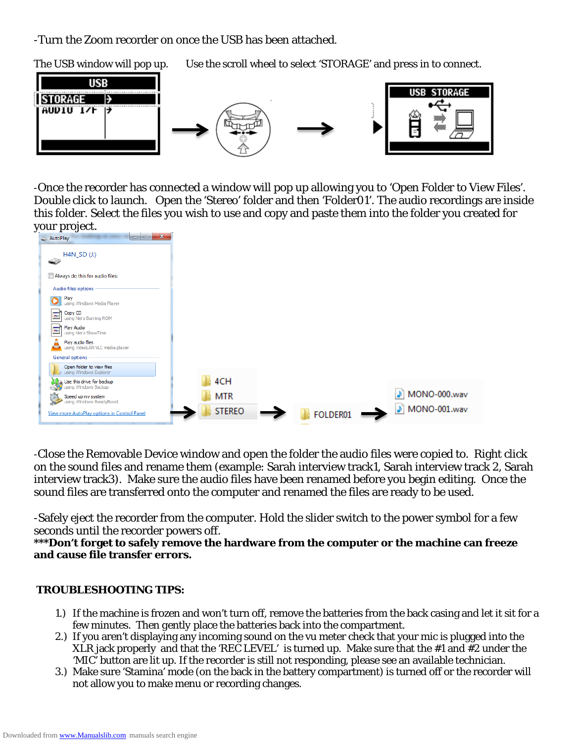-Turn the Zoom recorder on once the USB has been attached.

The USB window will pop up. Use the scroll wheel to select 'STORAGE' and press in to connect.



-Once the recorder has connected a window will pop up allowing you to 'Open Folder to View Files'. Double click to launch. Open the 'Stereo' folder and then 'Folder01'. The audio recordings are inside this folder. Select the files you wish to use and copy and paste them into the folder you created for your project.



-Close the Removable Device window and open the folder the audio files were copied to. Right click on the sound files and rename them (example: Sarah interview track1, Sarah interview track 2, Sarah interview track3). Make sure the audio files have been renamed before you begin editing. Once the sound files are transferred onto the computer and renamed the files are ready to be used.

-Safely eject the recorder from the computer. Hold the slider switch to the power symbol for a few seconds until the recorder powers off.

#### **\*\*\*Don't forget to safely remove the hardware from the computer or the machine can freeze and cause file transfer errors.**

#### *TROUBLESHOOTING TIPS:*

- 1.) If the machine is frozen and won't turn off, remove the batteries from the back casing and let it sit for a few minutes. Then *gently* place the batteries back into the compartment.
- 2.) If you aren't displaying any incoming sound on the vu meter check that your mic is plugged into the XLR jack properly and that the 'REC LEVEL' is turned up. Make sure that the #1 and #2 under the 'MIC' button are lit up. If the recorder is still not responding, please see an available technician.
- 3.) Make sure 'Stamina' mode (on the back in the battery compartment) is turned off or the recorder will not allow you to make menu or recording changes.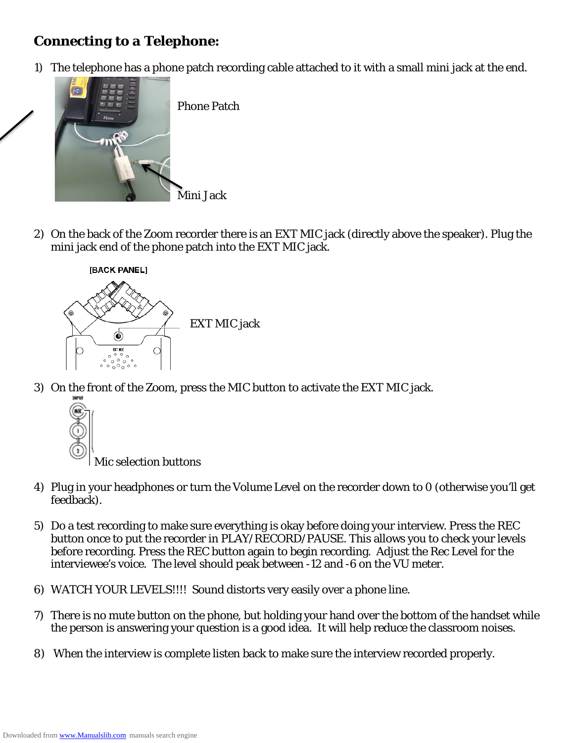# *Connecting to a Telephone:*

1) The telephone has a phone patch recording cable attached to it with a small mini jack at the end.



Phone Patch

2) On the back of the Zoom recorder there is an EXT MIC jack (directly above the speaker). Plug the mini jack end of the phone patch into the EXT MIC jack.



3) On the front of the Zoom, press the MIC button to activate the EXT MIC jack.



- 4) Plug in your headphones or turn the Volume Level on the recorder down to 0 (otherwise you'll get feedback).
- 5) Do a test recording to make sure everything is okay before doing your interview. Press the REC button once to put the recorder in PLAY/RECORD/PAUSE. This allows you to check your levels before recording. Press the REC button again to begin recording. Adjust the Rec Level for the interviewee's voice. The level should peak between -12 and -6 on the VU meter.
- 6) WATCH YOUR LEVELS!!!! Sound distorts very easily over a phone line.
- 7) There is no mute button on the phone, but holding your hand over the bottom of the handset while the person is answering your question is a good idea. It will help reduce the classroom noises.
- 8) When the interview is complete listen back to make sure the interview recorded properly.